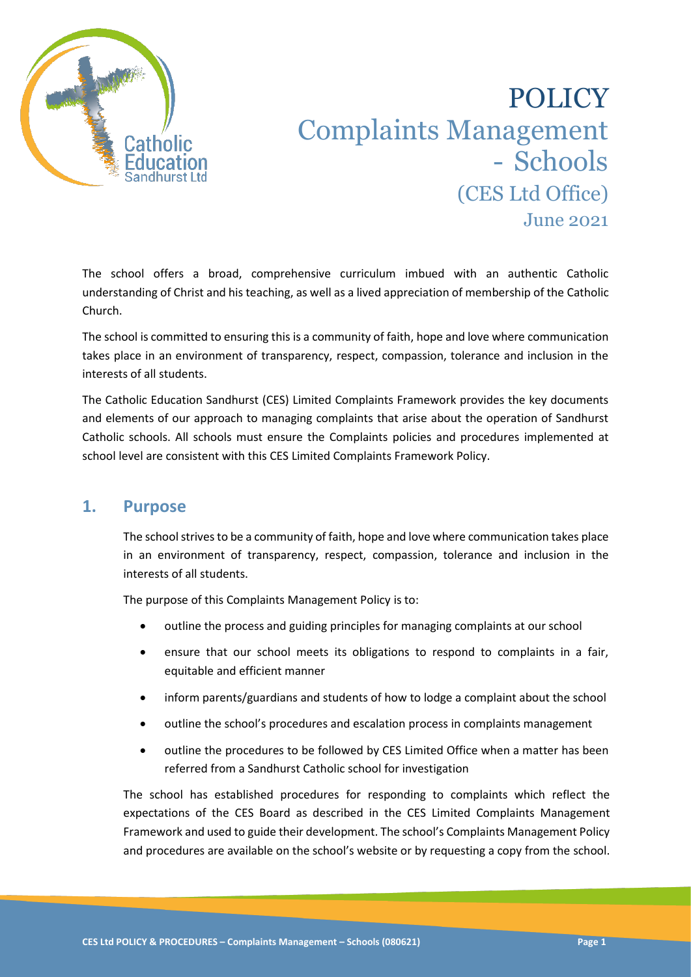

# POLICY Complaints Management - Schools (CES Ltd Office) June 2021

The school offers a broad, comprehensive curriculum imbued with an authentic Catholic understanding of Christ and his teaching, as well as a lived appreciation of membership of the Catholic Church.

The school is committed to ensuring this is a community of faith, hope and love where communication takes place in an environment of transparency, respect, compassion, tolerance and inclusion in the interests of all students.

The Catholic Education Sandhurst (CES) Limited Complaints Framework provides the key documents and elements of our approach to managing complaints that arise about the operation of Sandhurst Catholic schools. All schools must ensure the Complaints policies and procedures implemented at school level are consistent with this CES Limited Complaints Framework Policy.

## **1. Purpose**

The school strives to be a community of faith, hope and love where communication takes place in an environment of transparency, respect, compassion, tolerance and inclusion in the interests of all students.

The purpose of this Complaints Management Policy is to:

- outline the process and guiding principles for managing complaints at our school
- ensure that our school meets its obligations to respond to complaints in a fair, equitable and efficient manner
- inform parents/guardians and students of how to lodge a complaint about the school
- outline the school's procedures and escalation process in complaints management
- outline the procedures to be followed by CES Limited Office when a matter has been referred from a Sandhurst Catholic school for investigation

The school has established procedures for responding to complaints which reflect the expectations of the CES Board as described in the CES Limited Complaints Management Framework and used to guide their development. The school's Complaints Management Policy and procedures are available on the school's website or by requesting a copy from the school.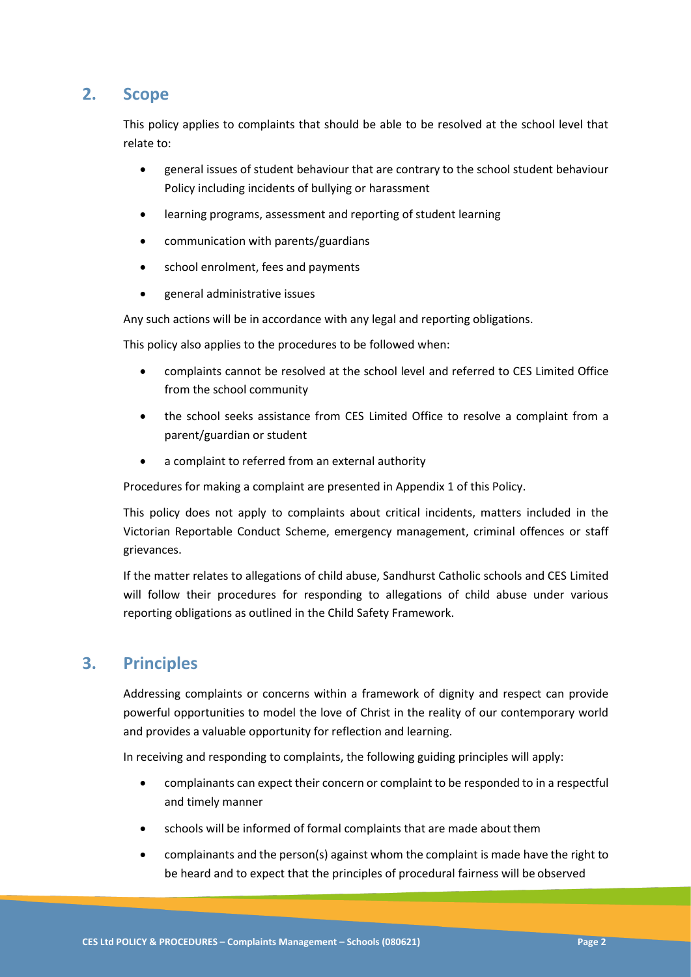## **2. Scope**

This policy applies to complaints that should be able to be resolved at the school level that relate to:

- general issues of student behaviour that are contrary to the school student behaviour Policy including incidents of bullying or harassment
- learning programs, assessment and reporting of student learning
- communication with parents/guardians
- school enrolment, fees and payments
- general administrative issues

Any such actions will be in accordance with any legal and reporting obligations.

This policy also applies to the procedures to be followed when:

- complaints cannot be resolved at the school level and referred to CES Limited Office from the school community
- the school seeks assistance from CES Limited Office to resolve a complaint from a parent/guardian or student
- a complaint to referred from an external authority

Procedures for making a complaint are presented in Appendix 1 of this Policy.

This policy does not apply to complaints about critical incidents, matters included in the Victorian Reportable Conduct Scheme, emergency management, criminal offences or staff grievances.

If the matter relates to allegations of child abuse, Sandhurst Catholic schools and CES Limited will follow their procedures for responding to allegations of child abuse under various reporting obligations as outlined in the Child Safety Framework.

## **3. Principles**

Addressing complaints or concerns within a framework of dignity and respect can provide powerful opportunities to model the love of Christ in the reality of our contemporary world and provides a valuable opportunity for reflection and learning.

In receiving and responding to complaints, the following guiding principles will apply:

- complainants can expect their concern or complaint to be responded to in a respectful and timely manner
- schools will be informed of formal complaints that are made about them
- complainants and the person(s) against whom the complaint is made have the right to be heard and to expect that the principles of procedural fairness will be observed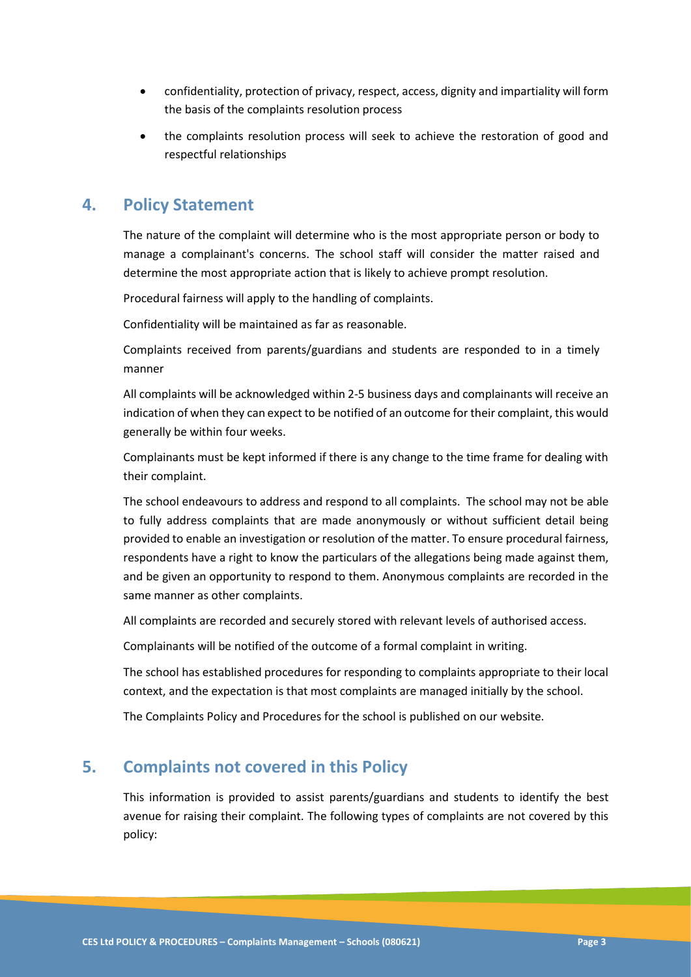- confidentiality, protection of privacy, respect, access, dignity and impartiality will form the basis of the complaints resolution process
- the complaints resolution process will seek to achieve the restoration of good and respectful relationships

## **4. Policy Statement**

The nature of the complaint will determine who is the most appropriate person or body to manage a complainant's concerns. The school staff will consider the matter raised and determine the most appropriate action that is likely to achieve prompt resolution.

Procedural fairness will apply to the handling of complaints.

Confidentiality will be maintained as far as reasonable.

Complaints received from parents/guardians and students are responded to in a timely manner

All complaints will be acknowledged within 2-5 business days and complainants will receive an indication of when they can expect to be notified of an outcome for their complaint, this would generally be within four weeks.

Complainants must be kept informed if there is any change to the time frame for dealing with their complaint.

The school endeavours to address and respond to all complaints. The school may not be able to fully address complaints that are made anonymously or without sufficient detail being provided to enable an investigation or resolution of the matter. To ensure procedural fairness, respondents have a right to know the particulars of the allegations being made against them, and be given an opportunity to respond to them. Anonymous complaints are recorded in the same manner as other complaints.

All complaints are recorded and securely stored with relevant levels of authorised access.

Complainants will be notified of the outcome of a formal complaint in writing.

The school has established procedures for responding to complaints appropriate to their local context, and the expectation is that most complaints are managed initially by the school.

The Complaints Policy and Procedures for the school is published on our website.

## **5. Complaints not covered in this Policy**

This information is provided to assist parents/guardians and students to identify the best avenue for raising their complaint. The following types of complaints are not covered by this policy: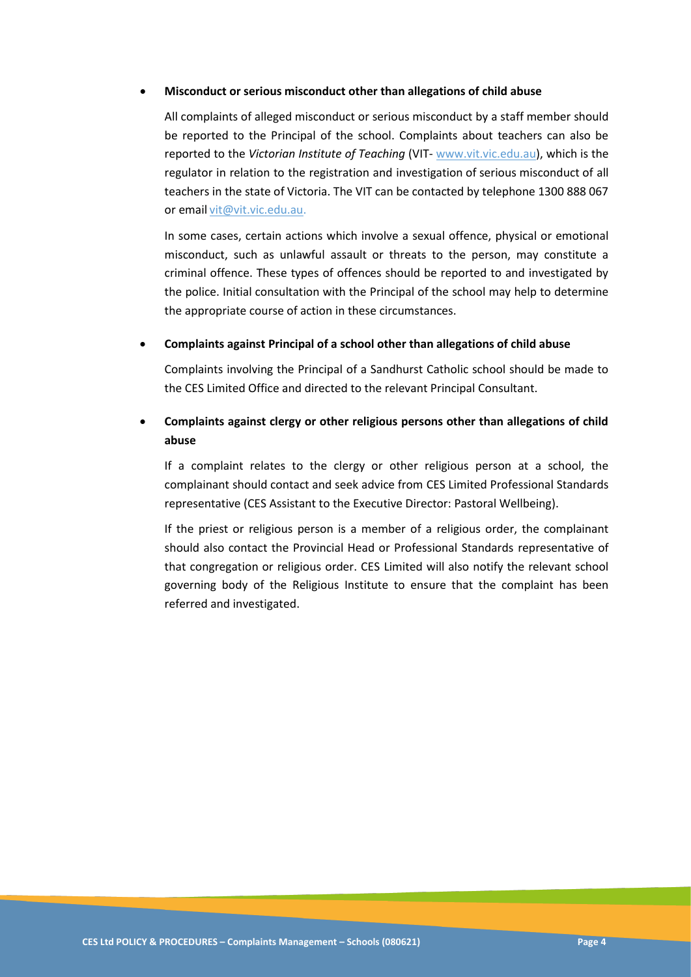### • **Misconduct or serious misconduct other than allegations of child abuse**

All complaints of alleged misconduct or serious misconduct by a staff member should be reported to the Principal of the school. Complaints about teachers can also be reported to the *Victorian Institute of Teaching* (VIT- www.vit.vic.edu.au), which is the regulator in relation to the registration and investigation of serious misconduct of all teachers in the state of Victoria. The VIT can be contacted by telephone 1300 888 067 or email [vit@vit.vic.edu.au.](mailto:vit@vit.vic.edu.au)

In some cases, certain actions which involve a sexual offence, physical or emotional misconduct, such as unlawful assault or threats to the person, may constitute a criminal offence. These types of offences should be reported to and investigated by the police. Initial consultation with the Principal of the school may help to determine the appropriate course of action in these circumstances.

### • **Complaints against Principal of a school other than allegations of child abuse**

Complaints involving the Principal of a Sandhurst Catholic school should be made to the CES Limited Office and directed to the relevant Principal Consultant.

### • **Complaints against clergy or other religious persons other than allegations of child abuse**

If a complaint relates to the clergy or other religious person at a school, the complainant should contact and seek advice from CES Limited Professional Standards representative (CES Assistant to the Executive Director: Pastoral Wellbeing).

If the priest or religious person is a member of a religious order, the complainant should also contact the Provincial Head or Professional Standards representative of that congregation or religious order. CES Limited will also notify the relevant school governing body of the Religious Institute to ensure that the complaint has been referred and investigated.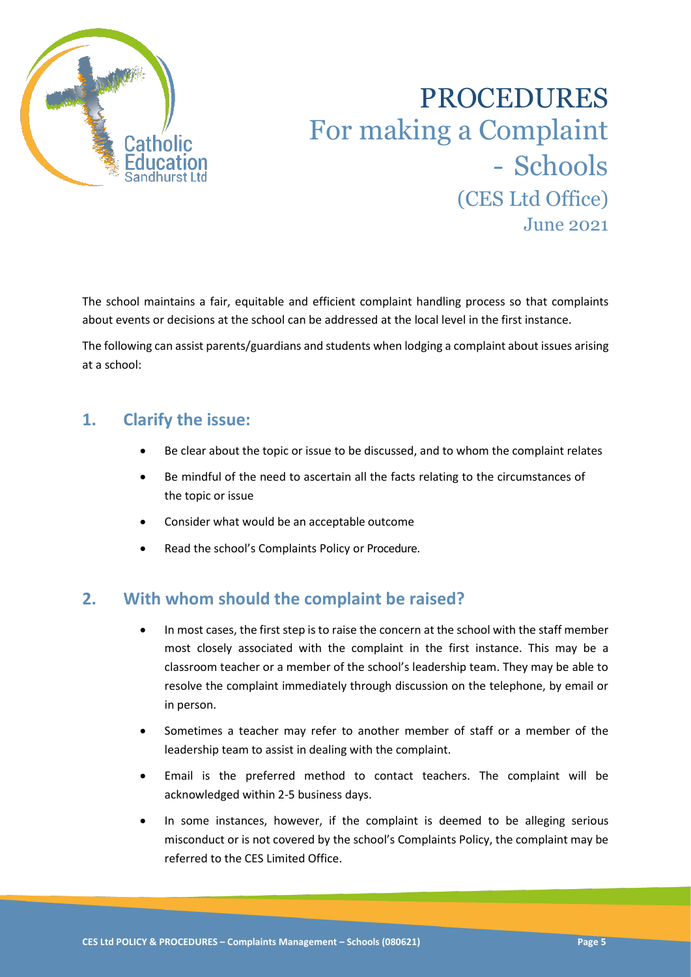

# PROCEDURES For making a Complaint - Schools (CES Ltd Office) June 2021

The school maintains a fair, equitable and efficient complaint handling process so that complaints about events or decisions at the school can be addressed at the local level in the first instance.

The following can assist parents/guardians and students when lodging a complaint about issues arising at a school:

## **1. Clarify the issue:**

- Be clear about the topic or issue to be discussed, and to whom the complaint relates
- Be mindful of the need to ascertain all the facts relating to the circumstances of the topic or issue
- Consider what would be an acceptable outcome
- Read the school's Complaints Policy or Procedure.

## **2. With whom should the complaint be raised?**

- In most cases, the first step is to raise the concern at the school with the staff member most closely associated with the complaint in the first instance. This may be a classroom teacher or a member of the school's leadership team. They may be able to resolve the complaint immediately through discussion on the telephone, by email or in person.
- Sometimes a teacher may refer to another member of staff or a member of the leadership team to assist in dealing with the complaint.
- Email is the preferred method to contact teachers. The complaint will be acknowledged within 2-5 business days.
- In some instances, however, if the complaint is deemed to be alleging serious misconduct or is not covered by the school's Complaints Policy, the complaint may be referred to the CES Limited Office.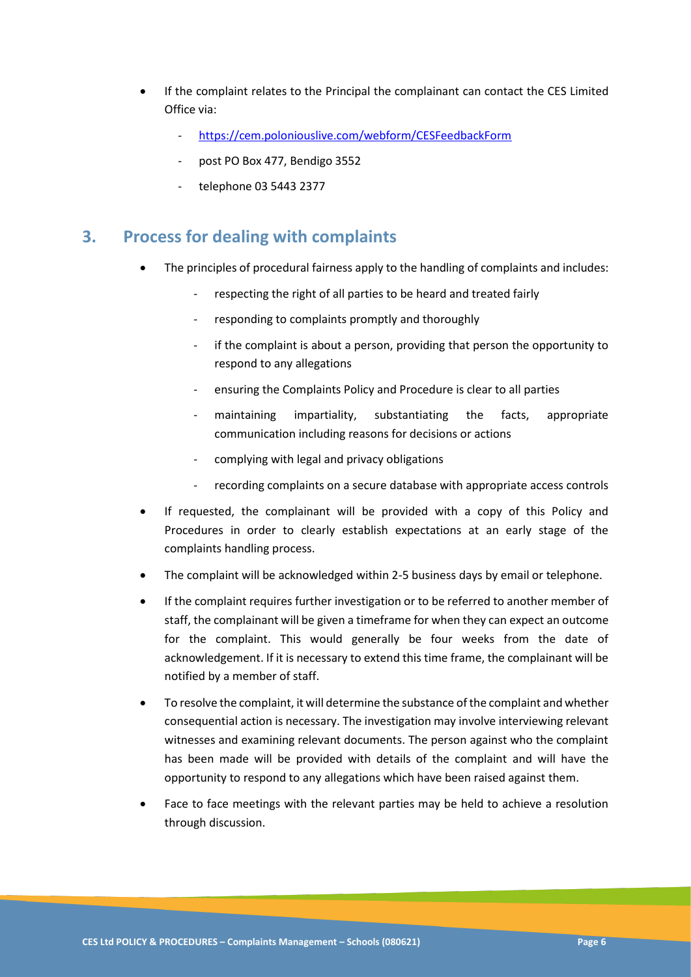- If the complaint relates to the Principal the complainant can contact the CES Limited Office via:
	- <https://cem.poloniouslive.com/webform/CESFeedbackForm>
	- post PO Box 477, Bendigo 3552
	- telephone 03 5443 2377

## **3. Process for dealing with complaints**

- The principles of procedural fairness apply to the handling of complaints and includes:
	- respecting the right of all parties to be heard and treated fairly
	- responding to complaints promptly and thoroughly
	- if the complaint is about a person, providing that person the opportunity to respond to any allegations
	- ensuring the Complaints Policy and Procedure is clear to all parties
	- maintaining impartiality, substantiating the facts, appropriate communication including reasons for decisions or actions
	- complying with legal and privacy obligations
	- recording complaints on a secure database with appropriate access controls
- If requested, the complainant will be provided with a copy of this Policy and Procedures in order to clearly establish expectations at an early stage of the complaints handling process.
- The complaint will be acknowledged within 2-5 business days by email or telephone.
- If the complaint requires further investigation or to be referred to another member of staff, the complainant will be given a timeframe for when they can expect an outcome for the complaint. This would generally be four weeks from the date of acknowledgement. If it is necessary to extend this time frame, the complainant will be notified by a member of staff.
- To resolve the complaint, it will determine the substance of the complaint and whether consequential action is necessary. The investigation may involve interviewing relevant witnesses and examining relevant documents. The person against who the complaint has been made will be provided with details of the complaint and will have the opportunity to respond to any allegations which have been raised against them.
- Face to face meetings with the relevant parties may be held to achieve a resolution through discussion.